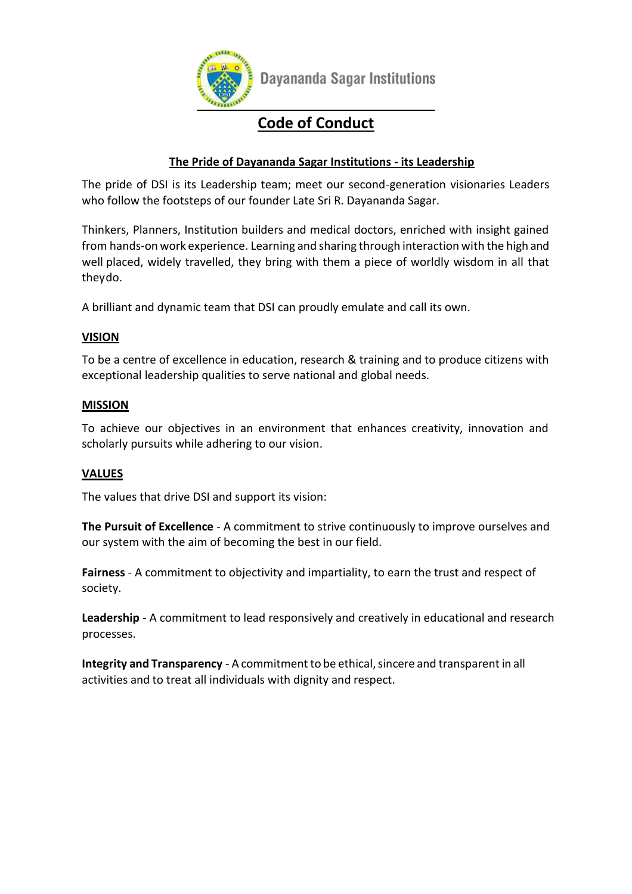

Dayananda Sagar Institutions

## **Code of Conduct**

#### **The Pride of Dayananda Sagar Institutions - its Leadership**

The pride of DSI is its Leadership team; meet our second-generation visionaries Leaders who follow the footsteps of our founder Late Sri R. Dayananda Sagar.

Thinkers, Planners, Institution builders and medical doctors, enriched with insight gained from hands-on work experience. Learning and sharing through interaction with the high and well placed, widely travelled, they bring with them a piece of worldly wisdom in all that theydo.

A brilliant and dynamic team that DSI can proudly emulate and call its own.

#### **VISION**

To be a centre of excellence in education, research & training and to produce citizens with exceptional leadership qualities to serve national and global needs.

#### **MISSION**

To achieve our objectives in an environment that enhances creativity, innovation and scholarly pursuits while adhering to our vision.

#### **VALUES**

The values that drive DSI and support its vision:

**The Pursuit of Excellence** - A commitment to strive continuously to improve ourselves and our system with the aim of becoming the best in our field.

**Fairness** - A commitment to objectivity and impartiality, to earn the trust and respect of society.

**Leadership** - A commitment to lead responsively and creatively in educational and research processes.

**Integrity and Transparency** - A commitment to be ethical, sincere and transparent in all activities and to treat all individuals with dignity and respect.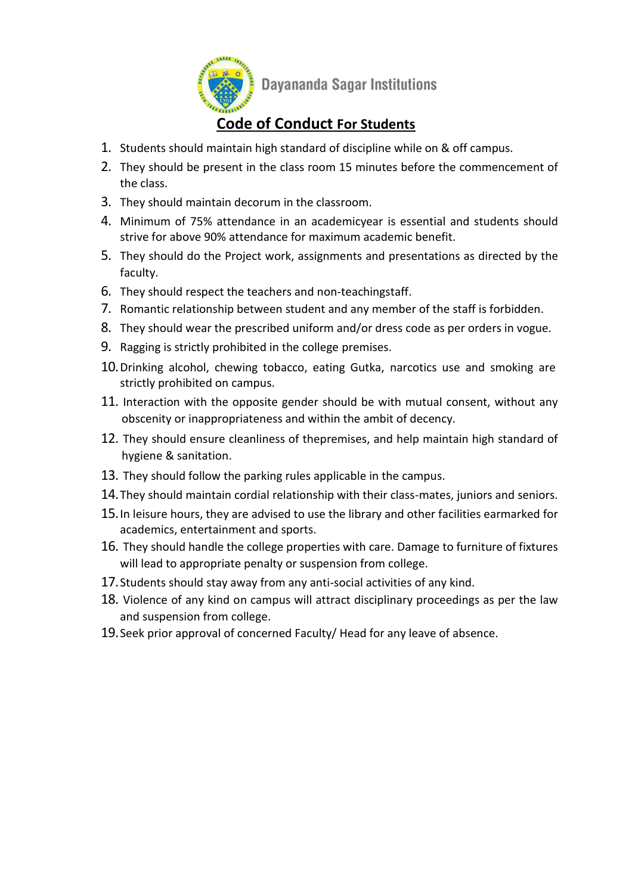

### **Code of Conduct For Students**

- 1. Students should maintain high standard of discipline while on & off campus.
- 2. They should be present in the class room 15 minutes before the commencement of the class.
- 3. They should maintain decorum in the classroom.
- 4. Minimum of 75% attendance in an academicyear is essential and students should strive for above 90% attendance for maximum academic benefit.
- 5. They should do the Project work, assignments and presentations as directed by the faculty.
- 6. They should respect the teachers and non-teachingstaff.
- 7. Romantic relationship between student and any member of the staff is forbidden.
- 8. They should wear the prescribed uniform and/or dress code as per orders in vogue.
- 9. Ragging is strictly prohibited in the college premises.
- 10.Drinking alcohol, chewing tobacco, eating Gutka, narcotics use and smoking are strictly prohibited on campus.
- 11. Interaction with the opposite gender should be with mutual consent, without any obscenity or inappropriateness and within the ambit of decency.
- 12. They should ensure cleanliness of thepremises, and help maintain high standard of hygiene & sanitation.
- 13. They should follow the parking rules applicable in the campus.
- 14.They should maintain cordial relationship with their class-mates, juniors and seniors.
- 15.In leisure hours, they are advised to use the library and other facilities earmarked for academics, entertainment and sports.
- 16. They should handle the college properties with care. Damage to furniture of fixtures will lead to appropriate penalty or suspension from college.
- 17.Students should stay away from any anti-social activities of any kind.
- 18. Violence of any kind on campus will attract disciplinary proceedings as per the law and suspension from college.
- 19.Seek prior approval of concerned Faculty/ Head for any leave of absence.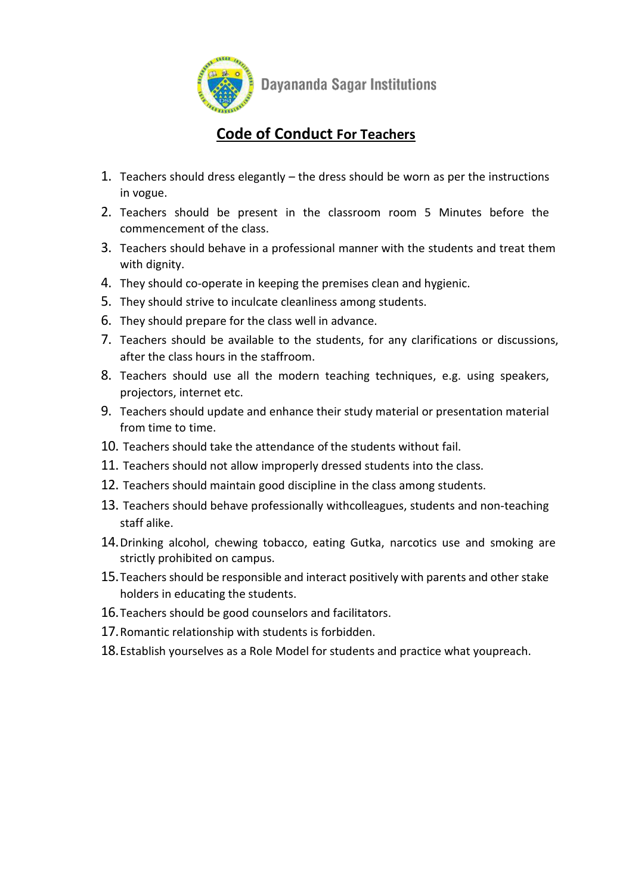

## **Code of Conduct For Teachers**

- 1. Teachers should dress elegantly the dress should be worn as per the instructions in vogue.
- 2. Teachers should be present in the classroom room 5 Minutes before the commencement of the class.
- 3. Teachers should behave in a professional manner with the students and treat them with dignity.
- 4. They should co-operate in keeping the premises clean and hygienic.
- 5. They should strive to inculcate cleanliness among students.
- 6. They should prepare for the class well in advance.
- 7. Teachers should be available to the students, for any clarifications or discussions, after the class hours in the staffroom.
- 8. Teachers should use all the modern teaching techniques, e.g. using speakers, projectors, internet etc.
- 9. Teachers should update and enhance their study material or presentation material from time to time.
- 10. Teachers should take the attendance of the students without fail.
- 11. Teachers should not allow improperly dressed students into the class.
- 12. Teachers should maintain good discipline in the class among students.
- 13. Teachers should behave professionally withcolleagues, students and non-teaching staff alike.
- 14.Drinking alcohol, chewing tobacco, eating Gutka, narcotics use and smoking are strictly prohibited on campus.
- 15.Teachers should be responsible and interact positively with parents and other stake holders in educating the students.
- 16.Teachers should be good counselors and facilitators.
- 17.Romantic relationship with students is forbidden.
- 18.Establish yourselves as a Role Model for students and practice what youpreach.